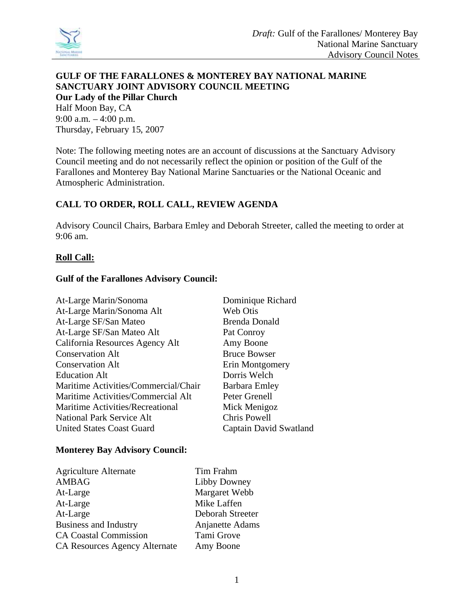

### **GULF OF THE FARALLONES & MONTEREY BAY NATIONAL MARINE SANCTUARY JOINT ADVISORY COUNCIL MEETING Our Lady of the Pillar Church**  Half Moon Bay, CA 9:00 a.m. – 4:00 p.m. Thursday, February 15, 2007

Note: The following meeting notes are an account of discussions at the Sanctuary Advisory Council meeting and do not necessarily reflect the opinion or position of the Gulf of the Farallones and Monterey Bay National Marine Sanctuaries or the National Oceanic and Atmospheric Administration.

# **CALL TO ORDER, ROLL CALL, REVIEW AGENDA**

Advisory Council Chairs, Barbara Emley and Deborah Streeter, called the meeting to order at 9:06 am.

# **Roll Call:**

### **Gulf of the Farallones Advisory Council:**

| At-Large Marin/Sonoma                | Dominique Richard      |
|--------------------------------------|------------------------|
| At-Large Marin/Sonoma Alt            | Web Otis               |
| At-Large SF/San Mateo                | <b>Brenda Donald</b>   |
| At-Large SF/San Mateo Alt            | Pat Conroy             |
| California Resources Agency Alt      | Amy Boone              |
| <b>Conservation Alt</b>              | <b>Bruce Bowser</b>    |
| <b>Conservation Alt</b>              | Erin Montgomery        |
| <b>Education Alt</b>                 | Dorris Welch           |
| Maritime Activities/Commercial/Chair | Barbara Emley          |
| Maritime Activities/Commercial Alt   | Peter Grenell          |
| Maritime Activities/Recreational     | Mick Menigoz           |
| <b>National Park Service Alt</b>     | Chris Powell           |
| <b>United States Coast Guard</b>     | Captain David Swatland |

#### **Monterey Bay Advisory Council:**

| <b>Agriculture Alternate</b>  | Tim Frahm        |
|-------------------------------|------------------|
| <b>AMBAG</b>                  | Libby Downey     |
| At-Large                      | Margaret Webb    |
| At-Large                      | Mike Laffen      |
| At-Large                      | Deborah Streeter |
| <b>Business and Industry</b>  | Anjanette Adams  |
| <b>CA Coastal Commission</b>  | Tami Grove       |
| CA Resources Agency Alternate | Amy Boone        |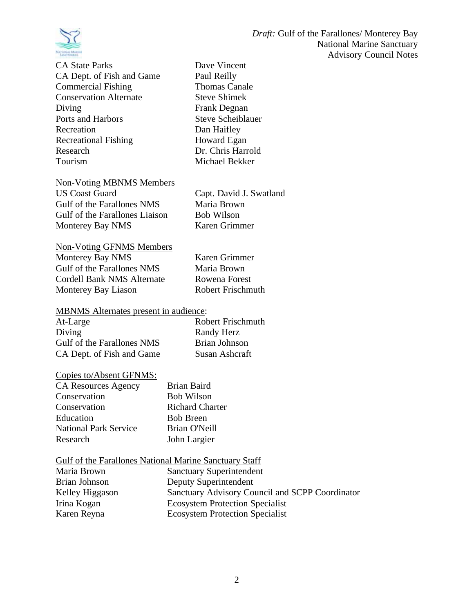

| CA State Parks                |
|-------------------------------|
| CA Dept. of Fish and Game     |
| <b>Commercial Fishing</b>     |
| <b>Conservation Alternate</b> |
| Diving                        |
| Ports and Harbors             |
| Recreation                    |
| <b>Recreational Fishing</b>   |
| Research                      |
| Tourism                       |
|                               |

Dave Vincent Paul Reilly Thomas Canale Steve Shimek Frank Degnan Steve Scheiblauer Dan Haifley Howard Egan Dr. Chris Harrold Michael Bekker

# Non-Voting MBNMS Members

Gulf of the Farallones NMS Maria Brown Gulf of the Farallones Liaison Bob Wilson Monterey Bay NMS Karen Grimmer

US Coast Guard Capt. David J. Swatland

# Non-Voting GFNMS Members Monterey Bay NMS Karen Grimmer

Gulf of the Farallones NMS Maria Brown Cordell Bank NMS Alternate Rowena Forest Monterey Bay Liason<br>
Robert Frischmuth

# MBNMS Alternates present in audience:

| At-Large                   | <b>Robert Frischmuth</b> |
|----------------------------|--------------------------|
| Diving                     | Randy Herz               |
| Gulf of the Farallones NMS | Brian Johnson            |
| CA Dept. of Fish and Game  | Susan Ashcraft           |

# Copies to/Absent GFNMS:

| <b>CA Resources Agency</b>   | <b>Brian Baird</b>     |
|------------------------------|------------------------|
| Conservation                 | <b>Bob Wilson</b>      |
| Conservation                 | <b>Richard Charter</b> |
| Education                    | <b>Bob Breen</b>       |
| <b>National Park Service</b> | Brian O'Neill          |
| Research                     | John Largier           |

# Gulf of the Farallones National Marine Sanctuary Staff

| Maria Brown     | Sanctuary Superintendent                        |
|-----------------|-------------------------------------------------|
| Brian Johnson   | Deputy Superintendent                           |
| Kelley Higgason | Sanctuary Advisory Council and SCPP Coordinator |
| Irina Kogan     | <b>Ecosystem Protection Specialist</b>          |
| Karen Reyna     | <b>Ecosystem Protection Specialist</b>          |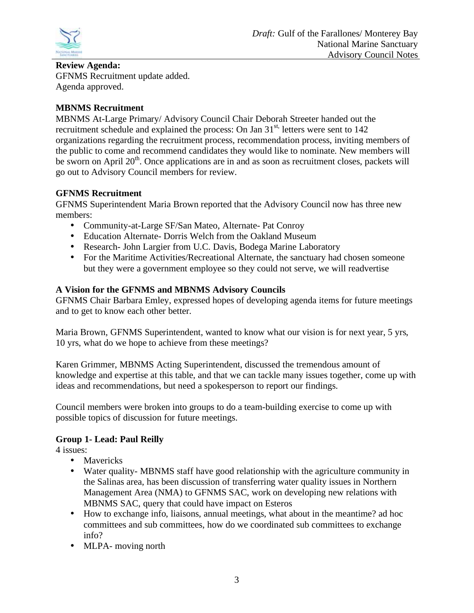

# **Review Agenda:**

GFNMS Recruitment update added. Agenda approved.

# **MBNMS Recruitment**

MBNMS At-Large Primary/ Advisory Council Chair Deborah Streeter handed out the recruitment schedule and explained the process: On Jan 31<sup>st,</sup> letters were sent to 142 organizations regarding the recruitment process, recommendation process, inviting members of the public to come and recommend candidates they would like to nominate. New members will be sworn on April  $20<sup>th</sup>$ . Once applications are in and as soon as recruitment closes, packets will go out to Advisory Council members for review.

# **GFNMS Recruitment**

GFNMS Superintendent Maria Brown reported that the Advisory Council now has three new members:

- Community-at-Large SF/San Mateo, Alternate- Pat Conroy
- Education Alternate- Dorris Welch from the Oakland Museum
- Research- John Largier from U.C. Davis, Bodega Marine Laboratory
- For the Maritime Activities/Recreational Alternate, the sanctuary had chosen someone but they were a government employee so they could not serve, we will readvertise

# **A Vision for the GFNMS and MBNMS Advisory Councils**

GFNMS Chair Barbara Emley, expressed hopes of developing agenda items for future meetings and to get to know each other better.

Maria Brown, GFNMS Superintendent, wanted to know what our vision is for next year, 5 yrs, 10 yrs, what do we hope to achieve from these meetings?

Karen Grimmer, MBNMS Acting Superintendent, discussed the tremendous amount of knowledge and expertise at this table, and that we can tackle many issues together, come up with ideas and recommendations, but need a spokesperson to report our findings.

Council members were broken into groups to do a team-building exercise to come up with possible topics of discussion for future meetings.

# **Group 1- Lead: Paul Reilly**

4 issues:

- Mavericks
- Water quality- MBNMS staff have good relationship with the agriculture community in the Salinas area, has been discussion of transferring water quality issues in Northern Management Area (NMA) to GFNMS SAC, work on developing new relations with MBNMS SAC, query that could have impact on Esteros
- How to exchange info, liaisons, annual meetings, what about in the meantime? ad hoc committees and sub committees, how do we coordinated sub committees to exchange info?
- MLPA- moving north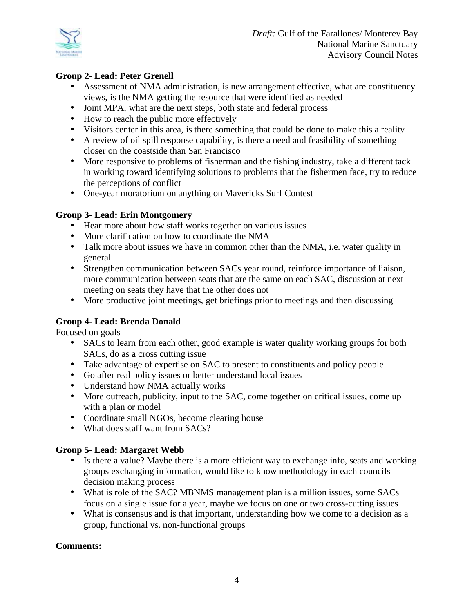

# **Group 2- Lead: Peter Grenell**

- Assessment of NMA administration, is new arrangement effective, what are constituency views, is the NMA getting the resource that were identified as needed
- Joint MPA, what are the next steps, both state and federal process
- How to reach the public more effectively
- Visitors center in this area, is there something that could be done to make this a reality
- A review of oil spill response capability, is there a need and feasibility of something closer on the coastside than San Francisco
- More responsive to problems of fisherman and the fishing industry, take a different tack in working toward identifying solutions to problems that the fishermen face, try to reduce the perceptions of conflict
- One-year moratorium on anything on Mavericks Surf Contest

# **Group 3- Lead: Erin Montgomery**

- Hear more about how staff works together on various issues
- More clarification on how to coordinate the NMA
- Talk more about issues we have in common other than the NMA, i.e. water quality in general
- Strengthen communication between SACs year round, reinforce importance of liaison, more communication between seats that are the same on each SAC, discussion at next meeting on seats they have that the other does not
- More productive joint meetings, get briefings prior to meetings and then discussing

# **Group 4- Lead: Brenda Donald**

Focused on goals

- SACs to learn from each other, good example is water quality working groups for both SACs, do as a cross cutting issue
- Take advantage of expertise on SAC to present to constituents and policy people
- Go after real policy issues or better understand local issues
- Understand how NMA actually works
- More outreach, publicity, input to the SAC, come together on critical issues, come up with a plan or model
- Coordinate small NGOs, become clearing house
- What does staff want from SACs?

# **Group 5- Lead: Margaret Webb**

- Is there a value? Maybe there is a more efficient way to exchange info, seats and working groups exchanging information, would like to know methodology in each councils decision making process
- What is role of the SAC? MBNMS management plan is a million issues, some SACs focus on a single issue for a year, maybe we focus on one or two cross-cutting issues
- What is consensus and is that important, understanding how we come to a decision as a group, functional vs. non-functional groups

# **Comments:**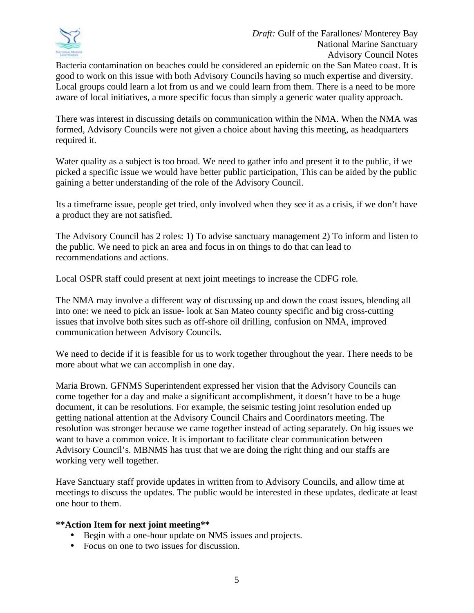

Bacteria contamination on beaches could be considered an epidemic on the San Mateo coast. It is good to work on this issue with both Advisory Councils having so much expertise and diversity. Local groups could learn a lot from us and we could learn from them. There is a need to be more aware of local initiatives, a more specific focus than simply a generic water quality approach.

There was interest in discussing details on communication within the NMA. When the NMA was formed, Advisory Councils were not given a choice about having this meeting, as headquarters required it.

Water quality as a subject is too broad. We need to gather info and present it to the public, if we picked a specific issue we would have better public participation, This can be aided by the public gaining a better understanding of the role of the Advisory Council.

Its a timeframe issue, people get tried, only involved when they see it as a crisis, if we don't have a product they are not satisfied.

The Advisory Council has 2 roles: 1) To advise sanctuary management 2) To inform and listen to the public. We need to pick an area and focus in on things to do that can lead to recommendations and actions.

Local OSPR staff could present at next joint meetings to increase the CDFG role.

The NMA may involve a different way of discussing up and down the coast issues, blending all into one: we need to pick an issue- look at San Mateo county specific and big cross-cutting issues that involve both sites such as off-shore oil drilling, confusion on NMA, improved communication between Advisory Councils.

We need to decide if it is feasible for us to work together throughout the year. There needs to be more about what we can accomplish in one day.

Maria Brown. GFNMS Superintendent expressed her vision that the Advisory Councils can come together for a day and make a significant accomplishment, it doesn't have to be a huge document, it can be resolutions. For example, the seismic testing joint resolution ended up getting national attention at the Advisory Council Chairs and Coordinators meeting. The resolution was stronger because we came together instead of acting separately. On big issues we want to have a common voice. It is important to facilitate clear communication between Advisory Council's. MBNMS has trust that we are doing the right thing and our staffs are working very well together.

Have Sanctuary staff provide updates in written from to Advisory Councils, and allow time at meetings to discuss the updates. The public would be interested in these updates, dedicate at least one hour to them.

#### **\*\*Action Item for next joint meeting\*\***

- Begin with a one-hour update on NMS issues and projects.
- Focus on one to two issues for discussion.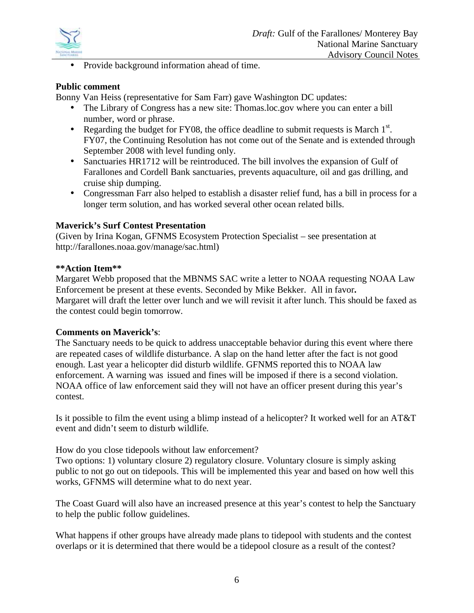

• Provide background information ahead of time.

#### **Public comment**

Bonny Van Heiss (representative for Sam Farr) gave Washington DC updates:

- The Library of Congress has a new site: Thomas.loc.gov where you can enter a bill number, word or phrase.
- Regarding the budget for FY08, the office deadline to submit requests is March  $1<sup>st</sup>$ . FY07, the Continuing Resolution has not come out of the Senate and is extended through September 2008 with level funding only.
- Sanctuaries HR1712 will be reintroduced. The bill involves the expansion of Gulf of Farallones and Cordell Bank sanctuaries, prevents aquaculture, oil and gas drilling, and cruise ship dumping.
- Congressman Farr also helped to establish a disaster relief fund, has a bill in process for a longer term solution, and has worked several other ocean related bills.

#### **Maverick's Surf Contest Presentation**

(Given by Irina Kogan, GFNMS Ecosystem Protection Specialist – see presentation at http://farallones.noaa.gov/manage/sac.html)

#### **\*\*Action Item\*\***

Margaret Webb proposed that the MBNMS SAC write a letter to NOAA requesting NOAA Law Enforcement be present at these events. Seconded by Mike Bekker.All in favor**.**  Margaret will draft the letter over lunch and we will revisit it after lunch. This should be faxed as the contest could begin tomorrow.

#### **Comments on Maverick's**:

The Sanctuary needs to be quick to address unacceptable behavior during this event where there are repeated cases of wildlife disturbance. A slap on the hand letter after the fact is not good enough. Last year a helicopter did disturb wildlife. GFNMS reported this to NOAA law enforcement. A warning was issued and fines will be imposed if there is a second violation. NOAA office of law enforcement said they will not have an officer present during this year's contest.

Is it possible to film the event using a blimp instead of a helicopter? It worked well for an AT&T event and didn't seem to disturb wildlife.

How do you close tidepools without law enforcement?

Two options: 1) voluntary closure 2) regulatory closure. Voluntary closure is simply asking public to not go out on tidepools. This will be implemented this year and based on how well this works, GFNMS will determine what to do next year.

The Coast Guard will also have an increased presence at this year's contest to help the Sanctuary to help the public follow guidelines.

What happens if other groups have already made plans to tidepool with students and the contest overlaps or it is determined that there would be a tidepool closure as a result of the contest?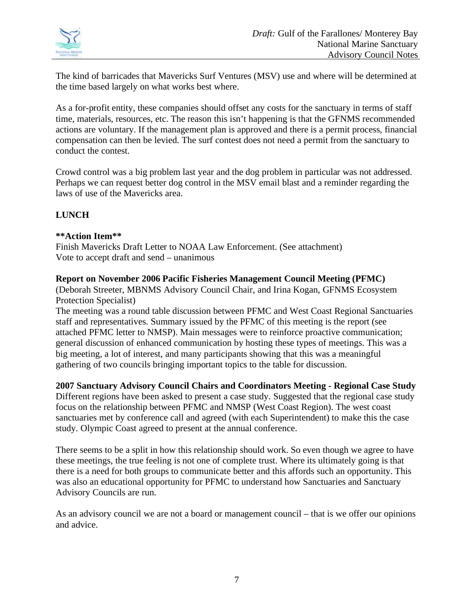

The kind of barricades that Mavericks Surf Ventures (MSV) use and where will be determined at the time based largely on what works best where.

As a for-profit entity, these companies should offset any costs for the sanctuary in terms of staff time, materials, resources, etc. The reason this isn't happening is that the GFNMS recommended actions are voluntary. If the management plan is approved and there is a permit process, financial compensation can then be levied. The surf contest does not need a permit from the sanctuary to conduct the contest.

Crowd control was a big problem last year and the dog problem in particular was not addressed. Perhaps we can request better dog control in the MSV email blast and a reminder regarding the laws of use of the Mavericks area.

# **LUNCH**

### **\*\*Action Item\*\***

Finish Mavericks Draft Letter to NOAA Law Enforcement. (See attachment) Vote to accept draft and send – unanimous

**Report on November 2006 Pacific Fisheries Management Council Meeting (PFMC)** 

(Deborah Streeter, MBNMS Advisory Council Chair, and Irina Kogan, GFNMS Ecosystem Protection Specialist)

The meeting was a round table discussion between PFMC and West Coast Regional Sanctuaries staff and representatives. Summary issued by the PFMC of this meeting is the report (see attached PFMC letter to NMSP). Main messages were to reinforce proactive communication; general discussion of enhanced communication by hosting these types of meetings. This was a big meeting, a lot of interest, and many participants showing that this was a meaningful gathering of two councils bringing important topics to the table for discussion.

**2007 Sanctuary Advisory Council Chairs and Coordinators Meeting - Regional Case Study** 

Different regions have been asked to present a case study. Suggested that the regional case study focus on the relationship between PFMC and NMSP (West Coast Region). The west coast sanctuaries met by conference call and agreed (with each Superintendent) to make this the case study. Olympic Coast agreed to present at the annual conference.

There seems to be a split in how this relationship should work. So even though we agree to have these meetings, the true feeling is not one of complete trust. Where its ultimately going is that there is a need for both groups to communicate better and this affords such an opportunity. This was also an educational opportunity for PFMC to understand how Sanctuaries and Sanctuary Advisory Councils are run.

As an advisory council we are not a board or management council – that is we offer our opinions and advice.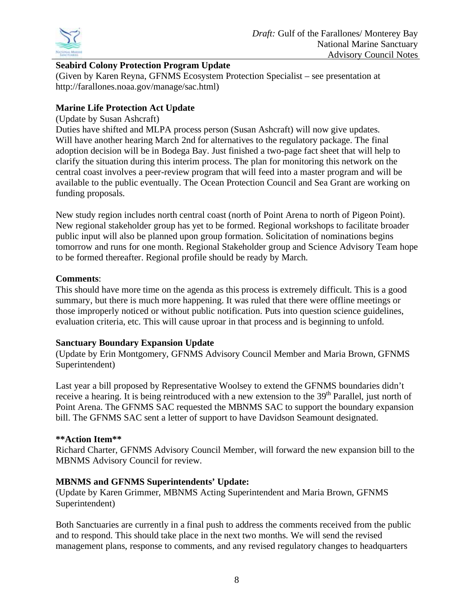

# **Seabird Colony Protection Program Update**

(Given by Karen Reyna, GFNMS Ecosystem Protection Specialist – see presentation at http://farallones.noaa.gov/manage/sac.html)

# **Marine Life Protection Act Update**

# (Update by Susan Ashcraft)

Duties have shifted and MLPA process person (Susan Ashcraft) will now give updates. Will have another hearing March 2nd for alternatives to the regulatory package. The final adoption decision will be in Bodega Bay. Just finished a two-page fact sheet that will help to clarify the situation during this interim process. The plan for monitoring this network on the central coast involves a peer-review program that will feed into a master program and will be available to the public eventually. The Ocean Protection Council and Sea Grant are working on funding proposals.

New study region includes north central coast (north of Point Arena to north of Pigeon Point). New regional stakeholder group has yet to be formed. Regional workshops to facilitate broader public input will also be planned upon group formation. Solicitation of nominations begins tomorrow and runs for one month. Regional Stakeholder group and Science Advisory Team hope to be formed thereafter. Regional profile should be ready by March.

# **Comments**:

This should have more time on the agenda as this process is extremely difficult. This is a good summary, but there is much more happening. It was ruled that there were offline meetings or those improperly noticed or without public notification. Puts into question science guidelines, evaluation criteria, etc. This will cause uproar in that process and is beginning to unfold.

# **Sanctuary Boundary Expansion Update**

(Update by Erin Montgomery, GFNMS Advisory Council Member and Maria Brown, GFNMS Superintendent)

Last year a bill proposed by Representative Woolsey to extend the GFNMS boundaries didn't receive a hearing. It is being reintroduced with a new extension to the 39<sup>th</sup> Parallel, just north of Point Arena. The GFNMS SAC requested the MBNMS SAC to support the boundary expansion bill. The GFNMS SAC sent a letter of support to have Davidson Seamount designated.

# **\*\*Action Item\*\***

Richard Charter, GFNMS Advisory Council Member, will forward the new expansion bill to the MBNMS Advisory Council for review.

# **MBNMS and GFNMS Superintendents' Update:**

(Update by Karen Grimmer, MBNMS Acting Superintendent and Maria Brown, GFNMS Superintendent)

Both Sanctuaries are currently in a final push to address the comments received from the public and to respond. This should take place in the next two months. We will send the revised management plans, response to comments, and any revised regulatory changes to headquarters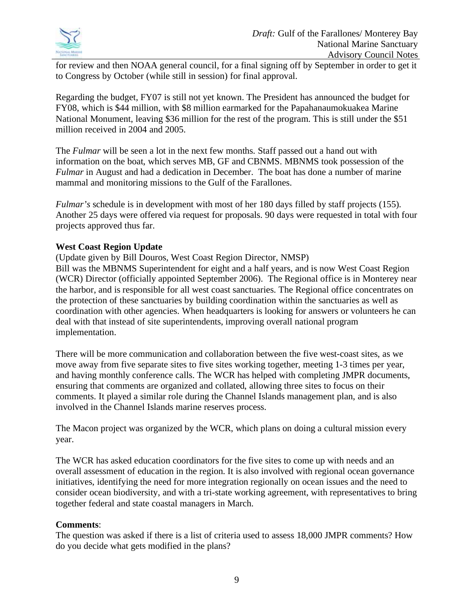

for review and then NOAA general council, for a final signing off by September in order to get it to Congress by October (while still in session) for final approval.

Regarding the budget, FY07 is still not yet known. The President has announced the budget for FY08, which is \$44 million, with \$8 million earmarked for the Papahanaumokuakea Marine National Monument, leaving \$36 million for the rest of the program. This is still under the \$51 million received in 2004 and 2005.

The *Fulmar* will be seen a lot in the next few months. Staff passed out a hand out with information on the boat, which serves MB, GF and CBNMS. MBNMS took possession of the *Fulmar* in August and had a dedication in December. The boat has done a number of marine mammal and monitoring missions to the Gulf of the Farallones.

*Fulmar's* schedule is in development with most of her 180 days filled by staff projects (155). Another 25 days were offered via request for proposals. 90 days were requested in total with four projects approved thus far.

### **West Coast Region Update**

(Update given by Bill Douros, West Coast Region Director, NMSP)

Bill was the MBNMS Superintendent for eight and a half years, and is now West Coast Region (WCR) Director (officially appointed September 2006). The Regional office is in Monterey near the harbor, and is responsible for all west coast sanctuaries. The Regional office concentrates on the protection of these sanctuaries by building coordination within the sanctuaries as well as coordination with other agencies. When headquarters is looking for answers or volunteers he can deal with that instead of site superintendents, improving overall national program implementation.

There will be more communication and collaboration between the five west-coast sites, as we move away from five separate sites to five sites working together, meeting 1-3 times per year, and having monthly conference calls. The WCR has helped with completing JMPR documents, ensuring that comments are organized and collated, allowing three sites to focus on their comments. It played a similar role during the Channel Islands management plan, and is also involved in the Channel Islands marine reserves process.

The Macon project was organized by the WCR, which plans on doing a cultural mission every year.

The WCR has asked education coordinators for the five sites to come up with needs and an overall assessment of education in the region. It is also involved with regional ocean governance initiatives, identifying the need for more integration regionally on ocean issues and the need to consider ocean biodiversity, and with a tri-state working agreement, with representatives to bring together federal and state coastal managers in March.

# **Comments**:

The question was asked if there is a list of criteria used to assess 18,000 JMPR comments? How do you decide what gets modified in the plans?